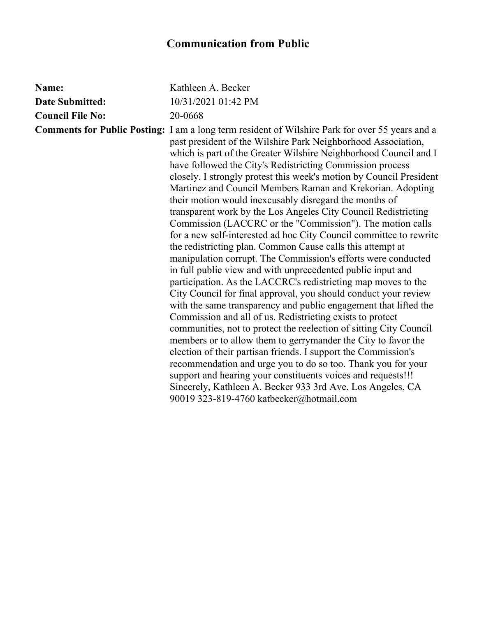## **Communication from Public**

| Kathleen A. Becker                                                                                                                                                                                                                                                                                                                                                                                                                                                                                                                                                                                                                                                                                                                                                                                                                                                                                                                                                                                                                                                                                                                                                                                                                                                                                                                                                                                                                                                                                                                                                                                                                 |
|------------------------------------------------------------------------------------------------------------------------------------------------------------------------------------------------------------------------------------------------------------------------------------------------------------------------------------------------------------------------------------------------------------------------------------------------------------------------------------------------------------------------------------------------------------------------------------------------------------------------------------------------------------------------------------------------------------------------------------------------------------------------------------------------------------------------------------------------------------------------------------------------------------------------------------------------------------------------------------------------------------------------------------------------------------------------------------------------------------------------------------------------------------------------------------------------------------------------------------------------------------------------------------------------------------------------------------------------------------------------------------------------------------------------------------------------------------------------------------------------------------------------------------------------------------------------------------------------------------------------------------|
| 10/31/2021 01:42 PM                                                                                                                                                                                                                                                                                                                                                                                                                                                                                                                                                                                                                                                                                                                                                                                                                                                                                                                                                                                                                                                                                                                                                                                                                                                                                                                                                                                                                                                                                                                                                                                                                |
| 20-0668                                                                                                                                                                                                                                                                                                                                                                                                                                                                                                                                                                                                                                                                                                                                                                                                                                                                                                                                                                                                                                                                                                                                                                                                                                                                                                                                                                                                                                                                                                                                                                                                                            |
| <b>Comments for Public Posting:</b> I am a long term resident of Wilshire Park for over 55 years and a<br>past president of the Wilshire Park Neighborhood Association,<br>which is part of the Greater Wilshire Neighborhood Council and I<br>have followed the City's Redistricting Commission process<br>closely. I strongly protest this week's motion by Council President<br>Martinez and Council Members Raman and Krekorian. Adopting<br>their motion would inexcusably disregard the months of<br>transparent work by the Los Angeles City Council Redistricting<br>Commission (LACCRC or the "Commission"). The motion calls<br>for a new self-interested ad hoc City Council committee to rewrite<br>the redistricting plan. Common Cause calls this attempt at<br>manipulation corrupt. The Commission's efforts were conducted<br>in full public view and with unprecedented public input and<br>participation. As the LACCRC's redistricting map moves to the<br>City Council for final approval, you should conduct your review<br>with the same transparency and public engagement that lifted the<br>Commission and all of us. Redistricting exists to protect<br>communities, not to protect the reelection of sitting City Council<br>members or to allow them to gerrymander the City to favor the<br>election of their partisan friends. I support the Commission's<br>recommendation and urge you to do so too. Thank you for your<br>support and hearing your constituents voices and requests!!!<br>Sincerely, Kathleen A. Becker 933 3rd Ave. Los Angeles, CA<br>90019 323-819-4760 katbecker@hotmail.com |
|                                                                                                                                                                                                                                                                                                                                                                                                                                                                                                                                                                                                                                                                                                                                                                                                                                                                                                                                                                                                                                                                                                                                                                                                                                                                                                                                                                                                                                                                                                                                                                                                                                    |